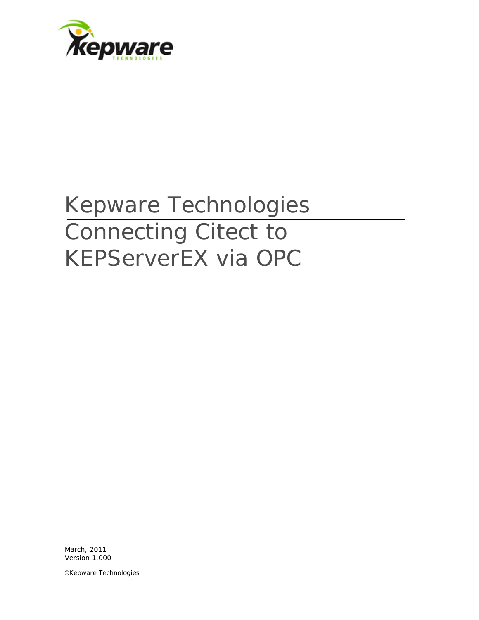

## Kepware Technologies Connecting Citect to KEPServerEX via OPC

March, 2011 Version 1.000

©Kepware Technologies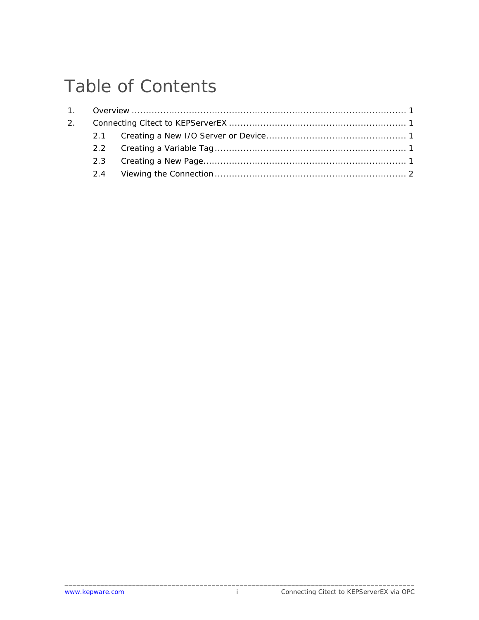## Table of Contents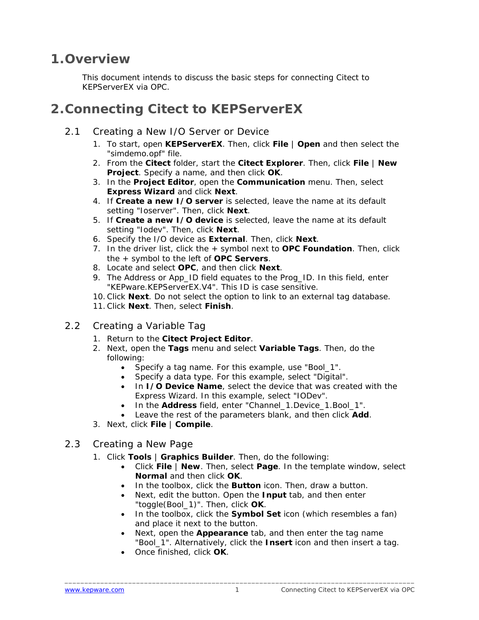## <span id="page-2-0"></span>**1.Overview**

This document intends to discuss the basic steps for connecting Citect to KEPServerEX via OPC.

## **2.Connecting Citect to KEPServerEX**

- 2.1 Creating a New I/O Server or Device
	- 1. To start, open **KEPServerEX**. Then, click **File** | **Open** and then select the "simdemo.opf" file.
	- 2. From the **Citect** folder, start the **Citect Explorer**. Then, click **File** | **New Project**. Specify a name, and then click **OK**.
	- 3. In the **Project Editor**, open the **Communication** menu. Then, select **Express Wizard** and click **Next**.
	- 4. If **Create a new I/O server** is selected, leave the name at its default setting "Ioserver". Then, click **Next**.
	- 5. If **Create a new I/O device** is selected, leave the name at its default setting "Iodev". Then, click **Next**.
	- 6. Specify the I/O device as **External**. Then, click **Next**.
	- 7. In the driver list, click the + symbol next to **OPC Foundation**. Then, click the + symbol to the left of **OPC Servers**.
	- 8. Locate and select **OPC**, and then click **Next**.
	- 9. The Address or App\_ID field equates to the Prog\_ID. In this field, enter "KEPware.KEPServerEX.V4". This ID is case sensitive.
	- 10.Click **Next**. Do not select the option to link to an external tag database.
	- 11.Click **Next**. Then, select **Finish**.
- 2.2 Creating a Variable Tag
	- 1. Return to the **Citect Project Editor**.
	- 2. Next, open the **Tags** menu and select **Variable Tags**. Then, do the following:
		- Specify a tag name. For this example, use "Bool\_1".
		- Specify a data type. For this example, select "Digital".
		- In **I/O Device Name**, select the device that was created with the Express Wizard. In this example, select "IODev".
		- In the **Address** field, enter "Channel\_1.Device\_1.Bool\_1".
		- Leave the rest of the parameters blank, and then click **Add**.
	- 3. Next, click **File** | **Compile**.
- 2.3 Creating a New Page
	- 1. Click **Tools** | **Graphics Builder**. Then, do the following:
		- Click **File** | **New**. Then, select **Page**. In the template window, select **Normal** and then click **OK**.
		- In the toolbox, click the **Button** icon. Then, draw a button.
		- Next, edit the button. Open the **Input** tab, and then enter "toggle(Bool\_1)". Then, click **OK**.
		- In the toolbox, click the **Symbol Set** icon (which resembles a fan) and place it next to the button.
		- Next, open the **Appearance** tab, and then enter the tag name "Bool\_1". Alternatively, click the **Insert** icon and then insert a tag.
		- Once finished, click **OK**.